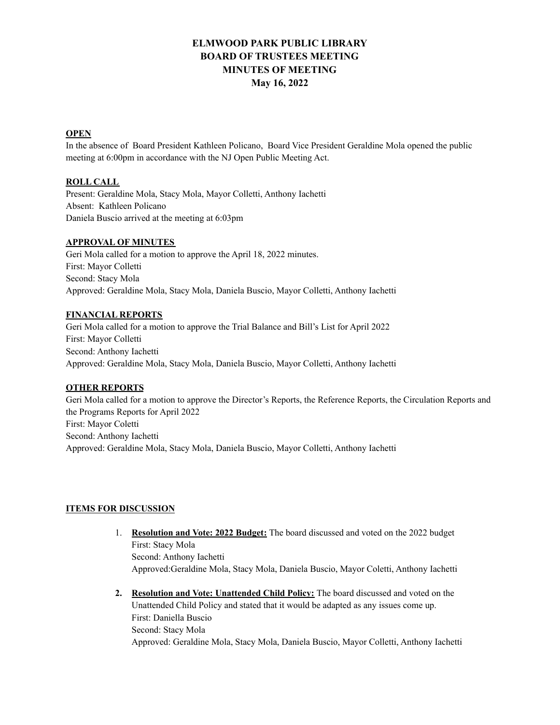# **ELMWOOD PARK PUBLIC LIBRARY BOARD OF TRUSTEES MEETING MINUTES OF MEETING May 16, 2022**

### **OPEN**

In the absence of Board President Kathleen Policano, Board Vice President Geraldine Mola opened the public meeting at 6:00pm in accordance with the NJ Open Public Meeting Act.

#### **ROLL CALL**

Present: Geraldine Mola, Stacy Mola, Mayor Colletti, Anthony Iachetti Absent: Kathleen Policano Daniela Buscio arrived at the meeting at 6:03pm

## **APPROVAL OF MINUTES**

Geri Mola called for a motion to approve the April 18, 2022 minutes. First: Mayor Colletti Second: Stacy Mola Approved: Geraldine Mola, Stacy Mola, Daniela Buscio, Mayor Colletti, Anthony Iachetti

#### **FINANCIAL REPORTS**

Geri Mola called for a motion to approve the Trial Balance and Bill's List for April 2022 First: Mayor Colletti Second: Anthony Iachetti Approved: Geraldine Mola, Stacy Mola, Daniela Buscio, Mayor Colletti, Anthony Iachetti

#### **OTHER REPORTS**

Geri Mola called for a motion to approve the Director's Reports, the Reference Reports, the Circulation Reports and the Programs Reports for April 2022 First: Mayor Coletti Second: Anthony Iachetti Approved: Geraldine Mola, Stacy Mola, Daniela Buscio, Mayor Colletti, Anthony Iachetti

#### **ITEMS FOR DISCUSSION**

- 1. **Resolution and Vote: 2022 Budget:** The board discussed and voted on the 2022 budget First: Stacy Mola Second: Anthony Iachetti Approved:Geraldine Mola, Stacy Mola, Daniela Buscio, Mayor Coletti, Anthony Iachetti
- **2. Resolution and Vote: Unattended Child Policy:** The board discussed and voted on the Unattended Child Policy and stated that it would be adapted as any issues come up. First: Daniella Buscio Second: Stacy Mola Approved: Geraldine Mola, Stacy Mola, Daniela Buscio, Mayor Colletti, Anthony Iachetti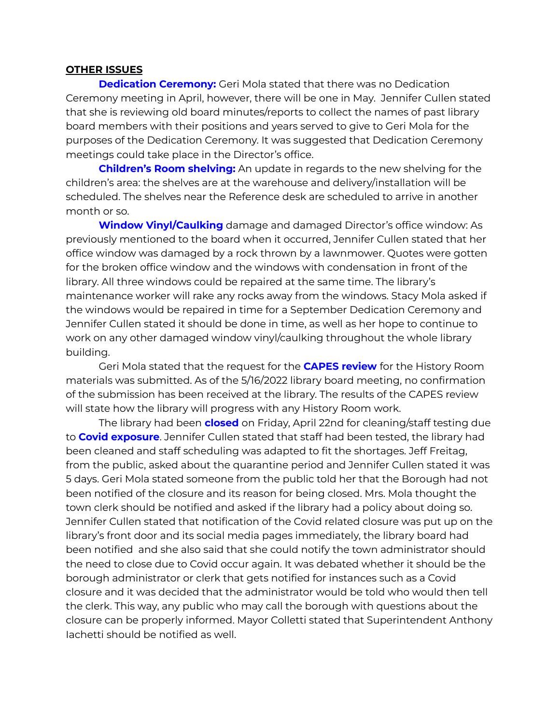# **OTHER ISSUES**

**Dedication Ceremony:** Geri Mola stated that there was no Dedication Ceremony meeting in April, however, there will be one in May. Jennifer Cullen stated that she is reviewing old board minutes/reports to collect the names of past library board members with their positions and years served to give to Geri Mola for the purposes of the Dedication Ceremony. It was suggested that Dedication Ceremony meetings could take place in the Director's office.

**Children's Room shelving:** An update in regards to the new shelving for the children's area: the shelves are at the warehouse and delivery/installation will be scheduled. The shelves near the Reference desk are scheduled to arrive in another month or so.

**Window Vinyl/Caulking** damage and damaged Director's office window: As previously mentioned to the board when it occurred, Jennifer Cullen stated that her office window was damaged by a rock thrown by a lawnmower. Quotes were gotten for the broken office window and the windows with condensation in front of the library. All three windows could be repaired at the same time. The library's maintenance worker will rake any rocks away from the windows. Stacy Mola asked if the windows would be repaired in time for a September Dedication Ceremony and Jennifer Cullen stated it should be done in time, as well as her hope to continue to work on any other damaged window vinyl/caulking throughout the whole library building.

Geri Mola stated that the request for the **CAPES review** for the History Room materials was submitted. As of the 5/16/2022 library board meeting, no confirmation of the submission has been received at the library. The results of the CAPES review will state how the library will progress with any History Room work.

The library had been **closed** on Friday, April 22nd for cleaning/staff testing due to **Covid exposure**. Jennifer Cullen stated that staff had been tested, the library had been cleaned and staff scheduling was adapted to fit the shortages. Jeff Freitag, from the public, asked about the quarantine period and Jennifer Cullen stated it was 5 days. Geri Mola stated someone from the public told her that the Borough had not been notified of the closure and its reason for being closed. Mrs. Mola thought the town clerk should be notified and asked if the library had a policy about doing so. Jennifer Cullen stated that notification of the Covid related closure was put up on the library's front door and its social media pages immediately, the library board had been notified and she also said that she could notify the town administrator should the need to close due to Covid occur again. It was debated whether it should be the borough administrator or clerk that gets notified for instances such as a Covid closure and it was decided that the administrator would be told who would then tell the clerk. This way, any public who may call the borough with questions about the closure can be properly informed. Mayor Colletti stated that Superintendent Anthony Iachetti should be notified as well.